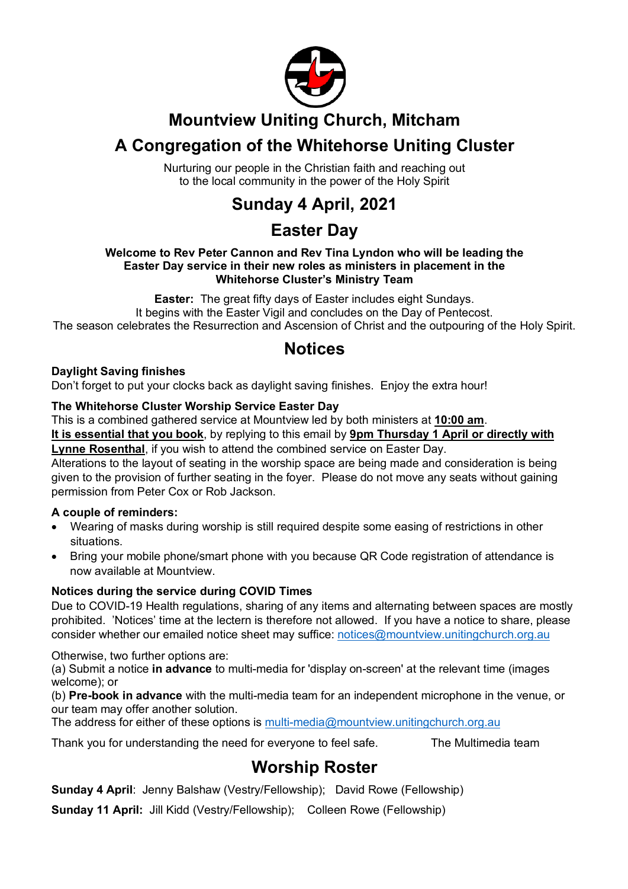

## **Mountview Uniting Church, Mitcham**

# **A Congregation of the Whitehorse Uniting Cluster**

Nurturing our people in the Christian faith and reaching out to the local community in the power of the Holy Spirit

# **Sunday 4 April, 2021**

## **Easter Day**

#### **Welcome to Rev Peter Cannon and Rev Tina Lyndon who will be leading the Easter Day service in their new roles as ministers in placement in the Whitehorse Cluster's Ministry Team**

**Easter:** The great fifty days of Easter includes eight Sundays. It begins with the Easter Vigil and concludes on the Day of Pentecost. The season celebrates the Resurrection and Ascension of Christ and the outpouring of the Holy Spirit.

## **Notices**

#### **Daylight Saving finishes**

Don't forget to put your clocks back as daylight saving finishes. Enjoy the extra hour!

#### **The Whitehorse Cluster Worship Service Easter Day**

This is a combined gathered service at Mountview led by both ministers at **10:00 am**.

**It is essential that you book**, by replying to this email by **9pm Thursday 1 April or directly with Lynne Rosenthal**, if you wish to attend the combined service on Easter Day.

Alterations to the layout of seating in the worship space are being made and consideration is being given to the provision of further seating in the foyer. Please do not move any seats without gaining permission from Peter Cox or Rob Jackson.

### **A couple of reminders:**

- Wearing of masks during worship is still required despite some easing of restrictions in other situations.
- Bring your mobile phone/smart phone with you because QR Code registration of attendance is now available at Mountview.

### **Notices during the service during COVID Times**

Due to COVID-19 Health regulations, sharing of any items and alternating between spaces are mostly prohibited. 'Notices' time at the lectern is therefore not allowed. If you have a notice to share, please consider whether our emailed notice sheet may suffice: notices@mountview.unitingchurch.org.au

Otherwise, two further options are:

(a) Submit a notice **in advance** to multi-media for 'display on-screen' at the relevant time (images welcome); or

(b) **Pre-book in advance** with the multi-media team for an independent microphone in the venue, or our team may offer another solution.

The address for either of these options is multi-media@mountview.unitingchurch.org.au

Thank you for understanding the need for everyone to feel safe. The Multimedia team

## **Worship Roster**

**Sunday 4 April**: Jenny Balshaw (Vestry/Fellowship); David Rowe (Fellowship)

**Sunday 11 April:** Jill Kidd (Vestry/Fellowship); Colleen Rowe (Fellowship)